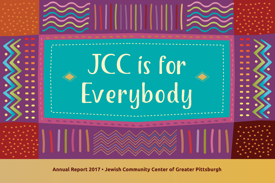

Annual Report 2017 • Jewish Community Center of Greater Pittsburgh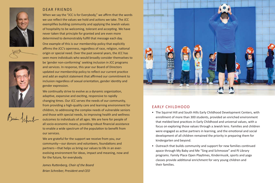



# DEAR FRIENDS

When we say the "JCC is for Everybody," we affirm that the words we use reflect the values we hold and actions we take. The JCC exemplifies building community and applying the Jewish values of hospitality to be welcoming, tolerant and accepting. We have never taken that principle for granted and are even more determined to demonstrably fulfill that message each day. One example of this is our membership policy that explicitly affirms the JCC's openness, regardless of race, religion, national origin or special need. Over the past several years, the JCC has seen more individuals who would broadly consider themselves to be 'gender non‐conforming' seeking inclusion in JCC programs and services. In response, this year our Board of Directors updated our membership policy to reflect our current practice and add an explicit statement that affirmed our commitment to inclusion regardless of sexual orientation, gender identity and gender expression.

We continually strive to evolve as a dynamic organization, adaptive, expansive and exciting, responsive to rapidly changing times. Our JCC serves the needs of our community, from providing a high‐quality care and learning environment for children, to addressing the complex needs of vulnerable seniors and those with special needs, to improving health and wellness outcomes to individuals of all ages. We are here for people of all socio‐economic means, providing robust financial assistance to enable a wide spectrum of the population to benefit from our services.

We are grateful for the support we receive from you, our community—our donors and volunteers, foundations and partners—that helps us bring our values to life in an ever‐ evolving environment for ideas, impact and meaning, now and for the future, for everybody.

*James Ruttenberg, Chair of the Board Brian Schreiber, President and CEO*



# EARLY CHILDHOOD

- The Squirrel Hill and South Hills Early Childhood Development Centers, with enrollment of more than 300 students, provided an enriched environment that melded best practices in Early Childhood and universal values, with a focus on exploring those values through a Jewish lens. Families and children were engaged as active partners in learning, and the emotional and social development of all children remained the priority in preparing them for kindergarten and beyond.
- Outreach that builds community and support for new families continued apace through My Baby and Me "Sing and Schmooze" and PJ Library programs. Family Place Open Playtimes, Kindermusik, sports and yoga classes provide additional enrichment for very young children and their families.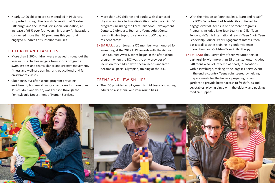• Nearly 1,400 children are now enrolled in PJ Library, supported through the Jewish Federation of Greater Pittsburgh and the Harold Grinspoon Foundation, an increase of 95% over four years. PJ Library Ambassadors conducted more than 60 programs this year that engaged hundreds of subscriber families.

# CHILDREN AND FAMILIES

- More than 3,500 children were engaged throughout the year in JCC activities ranging from sports programs, swim lessons and teams, dance and creative movement, fitness and wellness training, and educational and fun enrichment classes.
- Clubhouse, our after-school program providing enrichment, homework support and care for more than 115 children and youth, was licensed through the Pennsylvania Department of Human Services.
- More than 150 children and adults with diagnosed physical and intellectual disabilities participated in JCC programs including the Early Childhood Development Centers, Clubhouse, Teen and Young Adult Center, Jewish Singles Support Network and JCC day and resident camps.
- EXEMPLAR: Justin Jones, a JCC member, was honored for swimming at the 2017 ESPY awards with the Arthur Ashe Courage Award. Jones began in the after‐school program when the JCC was the only provider of inclusion for children with special needs and later became a Special Olympian, training at the JCC.

## TEENS AND JEWISH LIFE

• The JCC provided employment to 424 teens and young adults on a seasonal and year‐round basis.

- With the mission to "connect, lead, learn and repair," the JCC's Department of Jewish Life continued to engage over 500 teens in one or more programs. Programs include J Line Teen Learning, Diller Teen Fellows, HaZamir International Jewish Teen Choir, Teen Leadership Council, Peer Engagement Interns, teen basketball coaches training in gender violence prevention, and Goldston Teen Philanthropy.
- EXEMPLAR: The J‐Serve day of teen volunteering, in partnership with more than 25 organizations, included 340 teens who volunteered at nearly 20 locations within Pittsburgh, making it the largest J‐Serve event in the entire country. Teens volunteered by helping prepare meals for the hungry, preparing urban gardens to provide better access to fresh fruits and vegetables, playing bingo with the elderly, and packing medical supplies.

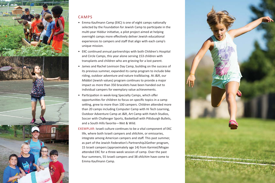

# CAMPS

- Emma Kaufmann Camp (EKC) is one of eight camps nationally selected by the Foundation for Jewish Camp to participate in the multi‐year Hiddur initiative, a pilot project aimed at helping overnight camps more effectively deliver Jewish educational experiences to campers and staff that align with each camp's unique mission.
- EKC continued annual partnerships with both Children's Hospital and Circle Camps, this year alone serving 153 children with transplants and children who are grieving for a lost parent.
- James and Rachel Levinson Day Camp, building on the success of its previous summer, expanded its camp program to include bike riding, outdoor adventure and nature trailblazing. At J&R, our *Middot* (Jewish values) program continues to provide a major impact as more than 350 bracelets have been handed out to individual campers for exemplary value achievements.
- Participation in week‐long Specialty Camps, which offer opportunities for children to focus on specific topics in a camp setting, grew to more than 100 campers. Children attended more than 20 camps including Computer Camp with Hi Tech Learning, Outdoor Adventure Camp at J&R, Art Camp with Hatch Studios, Soccer with Challenger Sports, Basketball with Pittsburgh Bullets, and a South Hills favorite—Wet & Wild.

EXEMPLAR: Israeli culture continues to be a vital component of EKC life, where both Israeli campers and *shlichim*, or emissaries, integrate among American campers and staff. This past summer, as part of the Jewish Federation's Partnership2Gether program, 15 Israeli campers (approximately age 14) from Karmiel/Misgav attended EKC for a three‐week session of camp. Over the past four summers, 55 Israeli campers and 38 *shlichim* have come to Emma Kaufmann Camp.

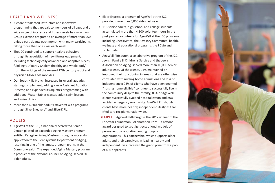# HEALTH AND WELLNESS

- A cadre of talented instructors and innovative programming that appeals to members of all ages and a wide range of interests and fitness levels has grown our Group Exercise program to an average of more than 550 unique participants each month, with many participants taking more than one class each week.
- The JCC continued to support healthy behaviors through its acquisition of new fitness equipment, including technologically advanced and adaptive pieces, fulfilling Guf Bari V'Shalem (healthy and whole body) from the writings of the revered 12th century rabbi and physician Moses Maimonides.
- Our South Hills branch increased its overall aquatics staffing complement, adding a new Assistant Aquatics Director, and expanded its aquatics programming with additional Water Babies classes, adult swim lessons and swim clinics.
- More than 6,800 older adults stayed fit with programs through SilverSneakers® and Silver&Fit.

# ADULTS

• AgeWell at the JCC, a nationally accredited Senior Center, piloted an expanded Aging Mastery program entitled Caregiver Aging Mastery through a successful application to the Pennsylvania Department of Aging, resulting in one of the largest program grants in the Commonwealth. The expanded Aging Mastery program, a product of the National Council on Aging, served 80 older adults.

- Elder Express, a program of AgeWell at the JCC, provided more than 6,000 rides last year.
- 116 senior adults, high school and college students accumulated more than 4,800 volunteer hours in the past year as volunteers for AgeWell at the JCC programs including CheckMates, the Advisory Committee, health, wellness and educational programs, the J Cafe and Tablet Cafe.
- AgeWell Pittsburgh, a collaborative program of the JCC, Jewish Family & Children's Service and the Jewish Association on Aging, served more than 10,000 senior adult clients. Of the clients, 94% maintained or improved their functioning in areas that are otherwise correlated with nursing home admissions and loss of independence; 93% of clients who have been deemed "nursing home eligible" continue to successfully live in the community despite their frailty; 83% of AgeWell clients successfully avoided hospitalization and 86% avoided emergency room visits. AgeWell Pittsburgh clients have more healthy, independent lifestyles than Medicare recipients nationwide.
- EXEMPLAR: AgeWell Pittsburgh is the 2017 winner of the Lodestar Foundation Collaboration Prize—a national award designed to spotlight exceptional models of permanent collaboration among nonprofit organizations. This partnership, which supports older adults and their caregivers in leading healthy and independent lives, received the grand prize from a pool of 400 applicants.

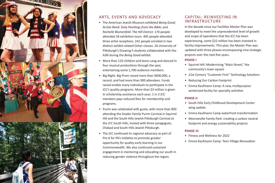

# ARTS, EVENTS AND ADVOCACY

- The American Jewish Museum exhibited *Being Good; Archie Rand: Sixty Paintings from the Bible*; and *Rochelle Blumenfeld: The Hill District*. 170 people attended 18 exhibition tours. 495 people attended three artist receptions. 241 people enrolled in two distinct exhibit‐related Osher classes. 26 University of Pittsburgh's Drawing II students collaborated with the AJM during the *Being Good* exhibit.
- More than 110 children and teens sang and danced in four musical productions through the year, entertaining some 1,700 audience members.
- Big Night: Big Prom raised more than \$600,000, a record, and had more than 900 attendees. Funds raised enable many individuals to participate in the JCC's quality programs. More than \$3 million is given in scholarship assistance each year; 1 in 3 JCC members pays reduced fees for membership and programs.
- Purim was celebrated with gusto, with more than 800 attending the Snyder Family Purim Carnival in Squirrel Hill and the South Hills Jewish Pittsburgh Carnival at the JCC South Hills, hosted with three synagogues, Chabad and South Hills Jewish Pittsburgh.
- The JCC continued its regional advocacy as part of Pre‐K for PA's initiative to promote greater opportunity for quality early learning in our Commonwealth. We also continued sustained engagement in mentoring and educating our youth in reducing gender violence throughout the region.

# CAPITAL: REINVESTING IN INFRASTRUCTURE

In the decade since our Facilities Master Plan was developed to meet the unprecedented level of growth and scope of operations that the JCC has been experiencing, some \$22 million has been invested in facility improvements. This year, the Master Plan was updated with three phases encompassing nine strategic projects over the next five years.

#### **PHASE I**

- Squirrel Hill: Modernizing "Main Street," the community's town square
- 21st Century "Customer First" Technology Solutions
- Reducing Our Carbon Footprint
- Emma Kaufmann Camp: A new, multipurpose winterized facility for specialty activities

## **PHASE II**

- South Hills Early Childhood Development Center wing update
- Emma Kaufmann Camp waterfront transformation
- Monroeville Family Park: creating a carbon neutral footprint and energy sustainability projects

## **PHASE III**

- Fitness and Wellness for 2022
- Emma Kaufmann Camp: Teen Village Renovation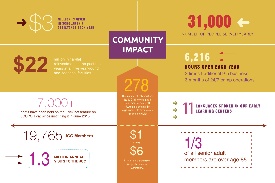